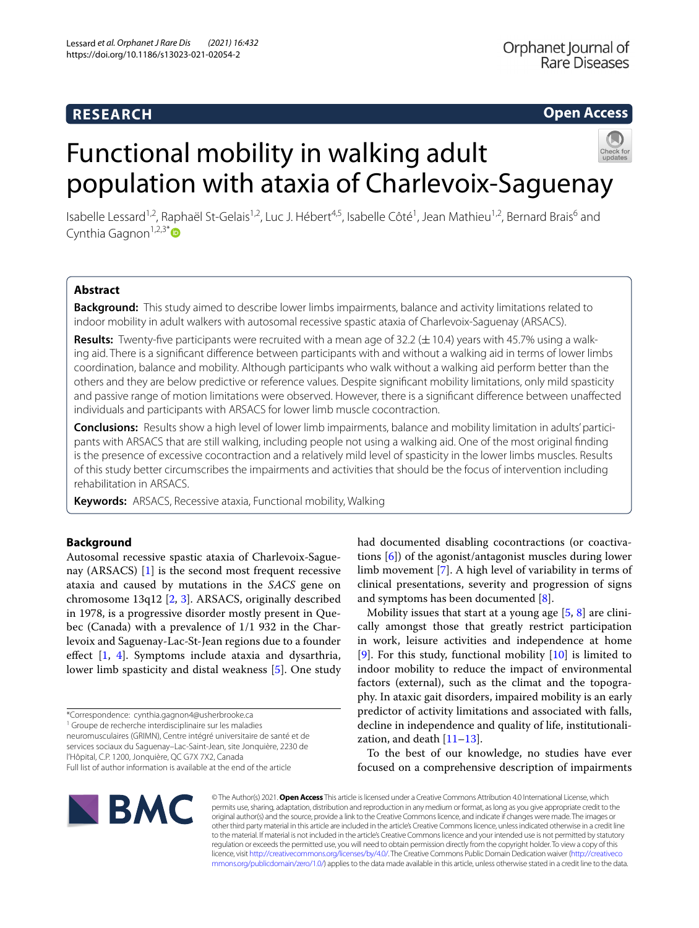### **RESEARCH**

#### **Open Access**

# Functional mobility in walking adult population with ataxia of Charlevoix-Saguenay

Isabelle Lessard<sup>1,2</sup>, Raphaël St-Gelais<sup>1,2</sup>, Luc J. Hébert<sup>4,5</sup>, Isabelle Côté<sup>1</sup>, Jean Mathieu<sup>1,2</sup>, Bernard Brais<sup>6</sup> and Cynthia Gagnon<sup>1,2,3[\\*](http://orcid.org/0000-0003-2829-8470)</sup>

#### **Abstract**

**Background:** This study aimed to describe lower limbs impairments, balance and activity limitations related to indoor mobility in adult walkers with autosomal recessive spastic ataxia of Charlevoix-Saguenay (ARSACS).

**Results:** Twenty-five participants were recruited with a mean age of 32.2 ( $\pm$  10.4) years with 45.7% using a walking aid. There is a signifcant diference between participants with and without a walking aid in terms of lower limbs coordination, balance and mobility. Although participants who walk without a walking aid perform better than the others and they are below predictive or reference values. Despite signifcant mobility limitations, only mild spasticity and passive range of motion limitations were observed. However, there is a signifcant diference between unafected individuals and participants with ARSACS for lower limb muscle cocontraction.

**Conclusions:** Results show a high level of lower limb impairments, balance and mobility limitation in adults' partici‑ pants with ARSACS that are still walking, including people not using a walking aid. One of the most original fnding is the presence of excessive cocontraction and a relatively mild level of spasticity in the lower limbs muscles. Results of this study better circumscribes the impairments and activities that should be the focus of intervention including rehabilitation in ARSACS.

**Keywords:** ARSACS, Recessive ataxia, Functional mobility, Walking

#### **Background**

Autosomal recessive spastic ataxia of Charlevoix-Saguenay (ARSACS) [[1\]](#page-8-0) is the second most frequent recessive ataxia and caused by mutations in the *SACS* gene on chromosome 13q12 [\[2](#page-8-1), [3](#page-8-2)]. ARSACS, originally described in 1978, is a progressive disorder mostly present in Quebec (Canada) with a prevalence of 1/1 932 in the Charlevoix and Saguenay-Lac-St-Jean regions due to a founder efect [\[1](#page-8-0), [4](#page-8-3)]. Symptoms include ataxia and dysarthria, lower limb spasticity and distal weakness [\[5](#page-8-4)]. One study

<sup>1</sup> Groupe de recherche interdisciplinaire sur les maladies

neuromusculaires (GRIMN), Centre intégré universitaire de santé et de services sociaux du Saguenay–Lac-Saint-Jean, site Jonquière, 2230 de l'Hôpital, C.P. 1200, Jonquière, QC G7X 7X2, Canada Full list of author information is available at the end of the article

Mobility issues that start at a young age [[5](#page-8-4), [8](#page-8-7)] are clinically amongst those that greatly restrict participation in work, leisure activities and independence at home [[9\]](#page-8-8). For this study, functional mobility  $[10]$  is limited to indoor mobility to reduce the impact of environmental factors (external), such as the climat and the topography. In ataxic gait disorders, impaired mobility is an early predictor of activity limitations and associated with falls, decline in independence and quality of life, institutionalization, and death  $[11-13]$  $[11-13]$ .

To the best of our knowledge, no studies have ever focused on a comprehensive description of impairments



© The Author(s) 2021. **Open Access** This article is licensed under a Creative Commons Attribution 4.0 International License, which permits use, sharing, adaptation, distribution and reproduction in any medium or format, as long as you give appropriate credit to the original author(s) and the source, provide a link to the Creative Commons licence, and indicate if changes were made. The images or other third party material in this article are included in the article's Creative Commons licence, unless indicated otherwise in a credit line to the material. If material is not included in the article's Creative Commons licence and your intended use is not permitted by statutory regulation or exceeds the permitted use, you will need to obtain permission directly from the copyright holder. To view a copy of this licence, visit [http://creativecommons.org/licenses/by/4.0/.](http://creativecommons.org/licenses/by/4.0/) The Creative Commons Public Domain Dedication waiver ([http://creativeco](http://creativecommons.org/publicdomain/zero/1.0/) [mmons.org/publicdomain/zero/1.0/](http://creativecommons.org/publicdomain/zero/1.0/)) applies to the data made available in this article, unless otherwise stated in a credit line to the data.

<sup>\*</sup>Correspondence: cynthia.gagnon4@usherbrooke.ca

had documented disabling cocontractions (or coactivations [[6\]](#page-8-5)) of the agonist/antagonist muscles during lower limb movement [\[7](#page-8-6)]. A high level of variability in terms of clinical presentations, severity and progression of signs and symptoms has been documented [[8\]](#page-8-7).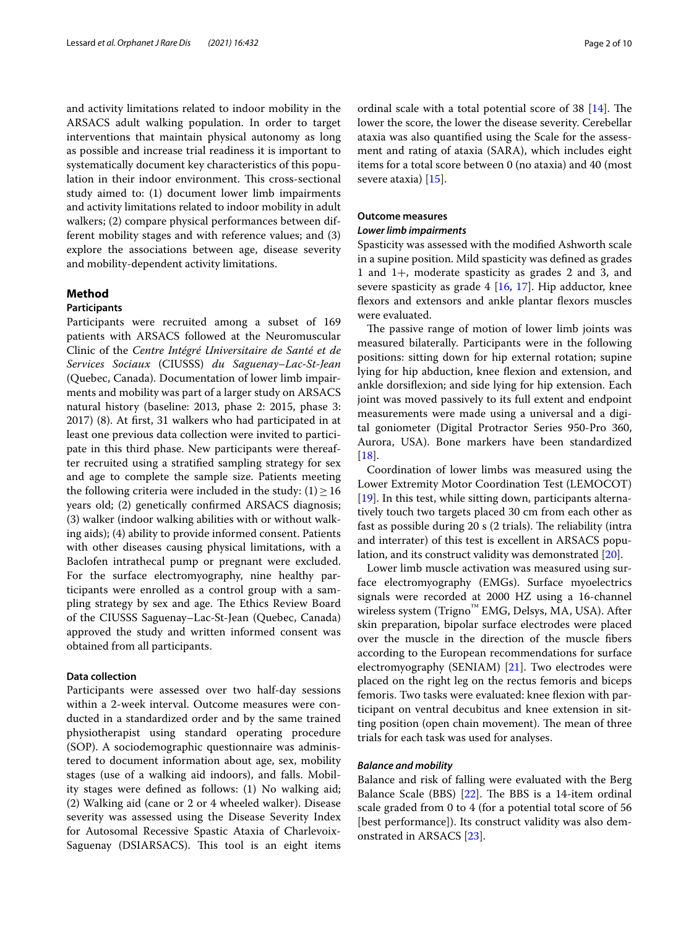and activity limitations related to indoor mobility in the ARSACS adult walking population. In order to target interventions that maintain physical autonomy as long as possible and increase trial readiness it is important to systematically document key characteristics of this population in their indoor environment. This cross-sectional study aimed to: (1) document lower limb impairments and activity limitations related to indoor mobility in adult walkers; (2) compare physical performances between different mobility stages and with reference values; and (3) explore the associations between age, disease severity and mobility-dependent activity limitations.

#### **Method**

#### **Participants**

Participants were recruited among a subset of 169 patients with ARSACS followed at the Neuromuscular Clinic of the *Centre Intégré Universitaire de Santé et de Services Sociaux* (CIUSSS) *du Saguenay–Lac-St-Jean* (Quebec, Canada). Documentation of lower limb impairments and mobility was part of a larger study on ARSACS natural history (baseline: 2013, phase 2: 2015, phase 3: 2017) (8). At frst, 31 walkers who had participated in at least one previous data collection were invited to participate in this third phase. New participants were thereafter recruited using a stratifed sampling strategy for sex and age to complete the sample size. Patients meeting the following criteria were included in the study:  $(1) \ge 16$ years old; (2) genetically confrmed ARSACS diagnosis; (3) walker (indoor walking abilities with or without walking aids); (4) ability to provide informed consent. Patients with other diseases causing physical limitations, with a Baclofen intrathecal pump or pregnant were excluded. For the surface electromyography, nine healthy participants were enrolled as a control group with a sampling strategy by sex and age. The Ethics Review Board of the CIUSSS Saguenay–Lac-St-Jean (Quebec, Canada) approved the study and written informed consent was obtained from all participants.

#### **Data collection**

Participants were assessed over two half-day sessions within a 2-week interval. Outcome measures were conducted in a standardized order and by the same trained physiotherapist using standard operating procedure (SOP). A sociodemographic questionnaire was administered to document information about age, sex, mobility stages (use of a walking aid indoors), and falls. Mobility stages were defned as follows: (1) No walking aid; (2) Walking aid (cane or 2 or 4 wheeled walker). Disease severity was assessed using the Disease Severity Index for Autosomal Recessive Spastic Ataxia of Charlevoix-Saguenay (DSIARSACS). This tool is an eight items ordinal scale with a total potential score of  $38$  [[14](#page-8-12)]. The lower the score, the lower the disease severity. Cerebellar ataxia was also quantifed using the Scale for the assessment and rating of ataxia (SARA), which includes eight items for a total score between 0 (no ataxia) and 40 (most severe ataxia) [[15](#page-9-0)].

#### **Outcome measures**

#### *Lower limb impairments*

Spasticity was assessed with the modifed Ashworth scale in a supine position. Mild spasticity was defned as grades 1 and 1+, moderate spasticity as grades 2 and 3, and severe spasticity as grade 4 [[16](#page-9-1), [17\]](#page-9-2). Hip adductor, knee fexors and extensors and ankle plantar fexors muscles were evaluated.

The passive range of motion of lower limb joints was measured bilaterally. Participants were in the following positions: sitting down for hip external rotation; supine lying for hip abduction, knee fexion and extension, and ankle dorsifexion; and side lying for hip extension. Each joint was moved passively to its full extent and endpoint measurements were made using a universal and a digital goniometer (Digital Protractor Series 950-Pro 360, Aurora, USA). Bone markers have been standardized [[18\]](#page-9-3).

Coordination of lower limbs was measured using the Lower Extremity Motor Coordination Test (LEMOCOT) [[19\]](#page-9-4). In this test, while sitting down, participants alternatively touch two targets placed 30 cm from each other as fast as possible during 20 s (2 trials). The reliability (intra and interrater) of this test is excellent in ARSACS population, and its construct validity was demonstrated [[20\]](#page-9-5).

Lower limb muscle activation was measured using surface electromyography (EMGs). Surface myoelectrics signals were recorded at 2000 HZ using a 16-channel wireless system (Trigno™ EMG, Delsys, MA, USA). After skin preparation, bipolar surface electrodes were placed over the muscle in the direction of the muscle fbers according to the European recommendations for surface electromyography (SENIAM) [\[21](#page-9-6)]. Two electrodes were placed on the right leg on the rectus femoris and biceps femoris. Two tasks were evaluated: knee fexion with participant on ventral decubitus and knee extension in sitting position (open chain movement). The mean of three trials for each task was used for analyses.

#### *Balance and mobility*

Balance and risk of falling were evaluated with the Berg Balance Scale (BBS)  $[22]$  $[22]$ . The BBS is a 14-item ordinal scale graded from 0 to 4 (for a potential total score of 56 [best performance]). Its construct validity was also demonstrated in ARSACS [[23\]](#page-9-8).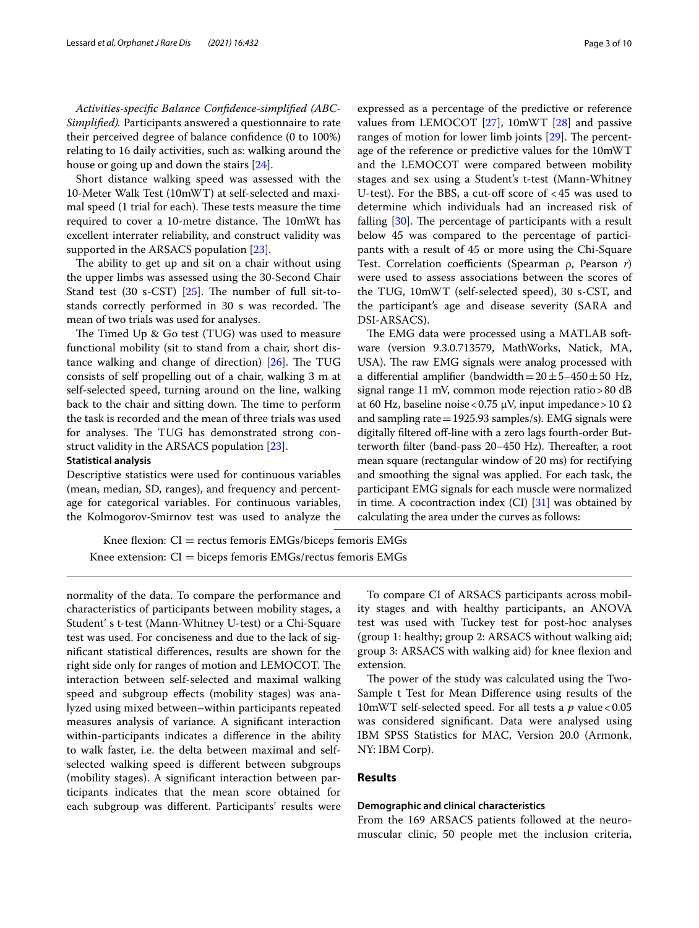*Activities-specifc Balance Confdence-simplifed (ABC-Simplifed).* Participants answered a questionnaire to rate their perceived degree of balance confdence (0 to 100%) relating to 16 daily activities, such as: walking around the house or going up and down the stairs [[24](#page-9-9)].

Short distance walking speed was assessed with the 10-Meter Walk Test (10mWT) at self-selected and maximal speed (1 trial for each). These tests measure the time required to cover a 10-metre distance. The 10mWt has excellent interrater reliability, and construct validity was supported in the ARSACS population [[23\]](#page-9-8).

The ability to get up and sit on a chair without using the upper limbs was assessed using the 30-Second Chair Stand test (30 s-CST) [\[25](#page-9-10)]. The number of full sit-tostands correctly performed in 30 s was recorded. The mean of two trials was used for analyses.

The Timed Up  $\&$  Go test (TUG) was used to measure functional mobility (sit to stand from a chair, short distance walking and change of direction)  $[26]$  $[26]$  $[26]$ . The TUG consists of self propelling out of a chair, walking 3 m at self-selected speed, turning around on the line, walking back to the chair and sitting down. The time to perform the task is recorded and the mean of three trials was used for analyses. The TUG has demonstrated strong construct validity in the ARSACS population [\[23](#page-9-8)].

#### **Statistical analysis**

Descriptive statistics were used for continuous variables (mean, median, SD, ranges), and frequency and percentage for categorical variables. For continuous variables, the Kolmogorov-Smirnov test was used to analyze the

expressed as a percentage of the predictive or reference values from LEMOCOT [[27\]](#page-9-12), 10mWT [[28\]](#page-9-13) and passive ranges of motion for lower limb joints  $[29]$ . The percentage of the reference or predictive values for the 10mWT and the LEMOCOT were compared between mobility stages and sex using a Student's t-test (Mann-Whitney U-test). For the BBS, a cut-off score of  $<45$  was used to determine which individuals had an increased risk of falling  $[30]$  $[30]$ . The percentage of participants with a result below 45 was compared to the percentage of participants with a result of 45 or more using the Chi-Square Test. Correlation coefficients (Spearman ρ, Pearson *r*) were used to assess associations between the scores of the TUG, 10mWT (self-selected speed), 30 s-CST, and

DSI-ARSACS). The EMG data were processed using a MATLAB software (version 9.3.0.713579, MathWorks, Natick, MA, USA). The raw EMG signals were analog processed with a differential amplifier (bandwidth= $20±5-450±50$  Hz, signal range 11 mV, common mode rejection ratio>80 dB at 60 Hz, baseline noise < 0.75 μV, input impedance > 10 Ω and sampling rate=1925.93 samples/s). EMG signals were digitally filtered off-line with a zero lags fourth-order Butterworth filter (band-pass 20–450 Hz). Thereafter, a root mean square (rectangular window of 20 ms) for rectifying and smoothing the signal was applied. For each task, the participant EMG signals for each muscle were normalized in time. A cocontraction index (CI) [\[31\]](#page-9-16) was obtained by calculating the area under the curves as follows:

the participant's age and disease severity (SARA and

Knee flexion:  $CI = rectus$  femoris EMGs/biceps femoris EMGs Knee extension:  $CI =$  biceps femoris EMGs/rectus femoris EMGs

normality of the data. To compare the performance and characteristics of participants between mobility stages, a Student' s t-test (Mann-Whitney U-test) or a Chi-Square test was used. For conciseness and due to the lack of signifcant statistical diferences, results are shown for the right side only for ranges of motion and LEMOCOT. The interaction between self-selected and maximal walking speed and subgroup effects (mobility stages) was analyzed using mixed between–within participants repeated measures analysis of variance. A signifcant interaction within-participants indicates a diference in the ability to walk faster, i.e. the delta between maximal and selfselected walking speed is diferent between subgroups (mobility stages). A signifcant interaction between participants indicates that the mean score obtained for each subgroup was diferent. Participants' results were

To compare CI of ARSACS participants across mobility stages and with healthy participants, an ANOVA test was used with Tuckey test for post-hoc analyses (group 1: healthy; group 2: ARSACS without walking aid; group 3: ARSACS with walking aid) for knee fexion and extension.

The power of the study was calculated using the Two-Sample t Test for Mean Diference using results of the 10mWT self-selected speed. For all tests a *p* value < 0.05 was considered signifcant. Data were analysed using IBM SPSS Statistics for MAC, Version 20.0 (Armonk, NY: IBM Corp).

#### **Results**

#### **Demographic and clinical characteristics**

From the 169 ARSACS patients followed at the neuromuscular clinic, 50 people met the inclusion criteria,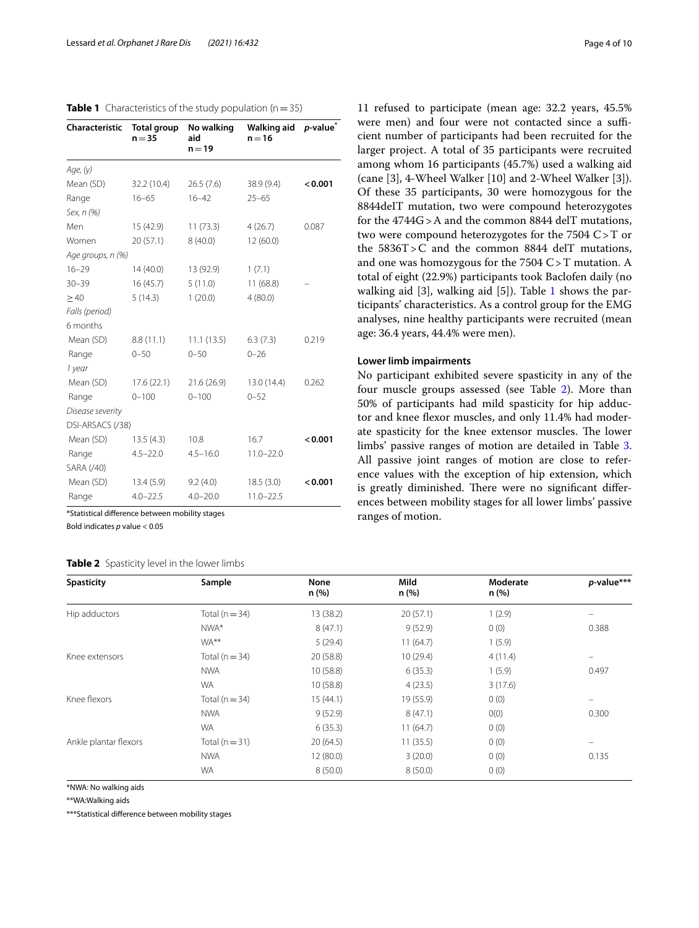<span id="page-3-0"></span>

| <b>Table 1</b> Characteristics of the study population ( $n = 35$ ) |  |  |
|---------------------------------------------------------------------|--|--|
|---------------------------------------------------------------------|--|--|

| <b>Characteristic</b> | <b>Total group</b><br>$n = 35$ | No walking<br>aid<br>$n = 19$ | Walking aid<br>$n = 16$ | <i>p</i> -value <sup>*</sup> |
|-----------------------|--------------------------------|-------------------------------|-------------------------|------------------------------|
| Age, (y)              |                                |                               |                         |                              |
| Mean (SD)             | 32.2 (10.4)                    | 26.5(7.6)                     | 38.9 (9.4)              | < 0.001                      |
| Range                 | $16 - 65$                      | $16 - 42$                     | $25 - 65$               |                              |
| Sex, n (%)            |                                |                               |                         |                              |
| Men                   | 15 (42.9)                      | 11(73.3)                      | 4(26.7)                 | 0.087                        |
| Women                 | 20(57.1)                       | 8(40.0)                       | 12(60.0)                |                              |
| Age groups, n (%)     |                                |                               |                         |                              |
| $16 - 29$             | 14(40.0)                       | 13 (92.9)                     | 1(7.1)                  |                              |
| $30 - 39$             | 16(45.7)                       | 5(11.0)                       | 11(68.8)                |                              |
| $\geq 40$             | 5(14.3)                        | 1(20.0)                       | 4(80.0)                 |                              |
| Falls (period)        |                                |                               |                         |                              |
| 6 months              |                                |                               |                         |                              |
| Mean (SD)             | 8.8(11.1)                      | 11.1(13.5)                    | 6.3(7.3)                | 0.219                        |
| Range                 | $0 - 50$                       | $0 - 50$                      | $0 - 26$                |                              |
| 1 year                |                                |                               |                         |                              |
| Mean (SD)             | 17.6 (22.1)                    | 21.6(26.9)                    | 13.0 (14.4)             | 0.262                        |
| Range                 | $0 - 100$                      | $0 - 100$                     | $0 - 52$                |                              |
| Disease severity      |                                |                               |                         |                              |
| DSI-ARSACS (/38)      |                                |                               |                         |                              |
| Mean (SD)             | 13.5(4.3)                      | 10.8                          | 16.7                    | < 0.001                      |
| Range                 | $4.5 - 22.0$                   | $4.5 - 16.0$                  | $11.0 - 22.0$           |                              |
| SARA (/40)            |                                |                               |                         |                              |
| Mean (SD)             | 13.4(5.9)                      | 9.2(4.0)                      | 18.5(3.0)               | < 0.001                      |
| Range                 | $4.0 - 22.5$                   | $4.0 - 20.0$                  | $11.0 - 22.5$           |                              |

\*Statistical diference between mobility stages

Bold indicates *p* value < 0.05

#### <span id="page-3-1"></span>**Table 2** Spasticity level in the lower limbs

11 refused to participate (mean age: 32.2 years, 45.5% were men) and four were not contacted since a sufficient number of participants had been recruited for the larger project. A total of 35 participants were recruited among whom 16 participants (45.7%) used a walking aid (cane [3], 4-Wheel Walker [10] and 2-Wheel Walker [3]). Of these 35 participants, 30 were homozygous for the 8844deIT mutation, two were compound heterozygotes for the 4744G>A and the common 8844 delT mutations, two were compound heterozygotes for the 7504 C>T or the 5836T>C and the common 8844 delT mutations, and one was homozygous for the 7504 C>T mutation. A total of eight (22.9%) participants took Baclofen daily (no walking aid [3], walking aid [5]). Table [1](#page-3-0) shows the participants' characteristics. As a control group for the EMG analyses, nine healthy participants were recruited (mean age: 36.4 years, 44.4% were men).

#### **Lower limb impairments**

No participant exhibited severe spasticity in any of the four muscle groups assessed (see Table [2](#page-3-1)). More than 50% of participants had mild spasticity for hip adductor and knee fexor muscles, and only 11.4% had moderate spasticity for the knee extensor muscles. The lower limbs' passive ranges of motion are detailed in Table [3](#page-4-0). All passive joint ranges of motion are close to reference values with the exception of hip extension, which is greatly diminished. There were no significant differences between mobility stages for all lower limbs' passive ranges of motion.

| <b>Spasticity</b>     | Sample             | <b>None</b><br>n(%) | Mild<br>n(%) | Moderate<br>n (%) | p-value***               |
|-----------------------|--------------------|---------------------|--------------|-------------------|--------------------------|
| Hip adductors         | Total ( $n = 34$ ) | 13 (38.2)           | 20(57.1)     | 1(2.9)            | $\equiv$                 |
|                       | NWA*               | 8(47.1)             | 9(52.9)      | 0(0)              | 0.388                    |
|                       | WA <sup>**</sup>   | 5(29.4)             | 11(64.7)     | 1(5.9)            |                          |
| Knee extensors        | Total ( $n = 34$ ) | 20 (58.8)           | 10(29.4)     | 4(11.4)           | $\overline{\phantom{0}}$ |
|                       | <b>NWA</b>         | 10 (58.8)           | 6(35.3)      | 1(5.9)            | 0.497                    |
|                       | <b>WA</b>          | 10(58.8)            | 4(23.5)      | 3(17.6)           |                          |
| Knee flexors          | Total ( $n = 34$ ) | 15(44.1)            | 19 (55.9)    | 0(0)              | -                        |
|                       | <b>NWA</b>         | 9(52.9)             | 8(47.1)      | O(0)              | 0.300                    |
|                       | <b>WA</b>          | 6(35.3)             | 11(64.7)     | 0(0)              |                          |
| Ankle plantar flexors | Total ( $n = 31$ ) | 20(64.5)            | 11(35.5)     | 0(0)              | -                        |
|                       | <b>NWA</b>         | 12(80.0)            | 3(20.0)      | 0(0)              | 0.135                    |
|                       | <b>WA</b>          | 8(50.0)             | 8(50.0)      | 0(0)              |                          |

\*NWA: No walking aids

\*\*WA:Walking aids

\*\*\*Statistical diference between mobility stages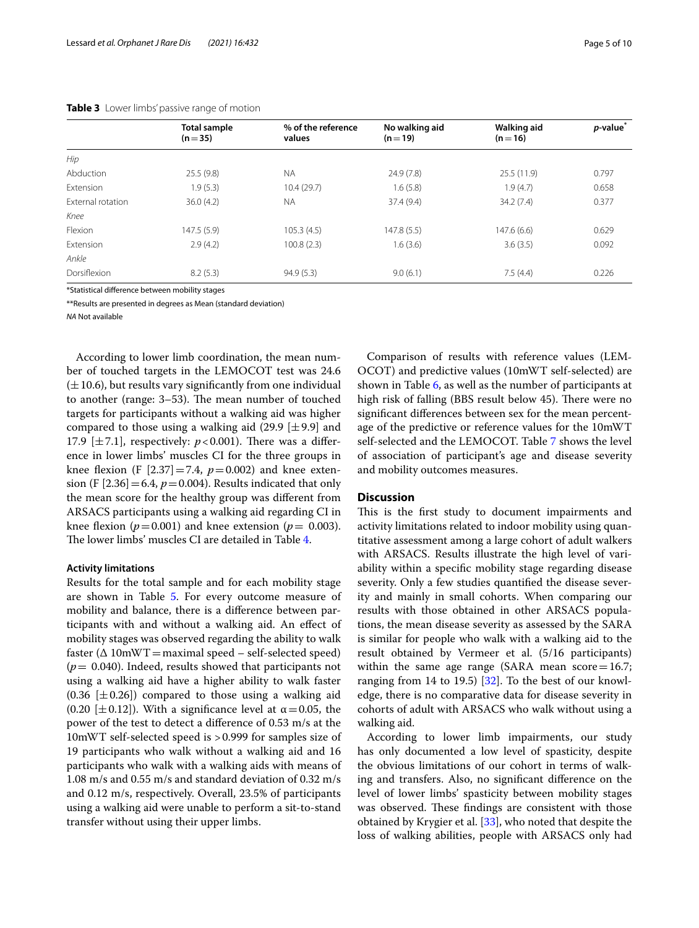|                   | <b>Total sample</b><br>$(n=35)$ | % of the reference<br>values | No walking aid<br>$(n=19)$ | Walking aid<br>$(n=16)$ | p-value <sup>*</sup> |
|-------------------|---------------------------------|------------------------------|----------------------------|-------------------------|----------------------|
| Hip               |                                 |                              |                            |                         |                      |
| Abduction         | 25.5(9.8)                       | <b>NA</b>                    | 24.9(7.8)                  | 25.5(11.9)              | 0.797                |
| <b>Extension</b>  | 1.9(5.3)                        | 10.4(29.7)                   | 1.6(5.8)                   | 1.9(4.7)                | 0.658                |
| External rotation | 36.0(4.2)                       | <b>NA</b>                    | 37.4 (9.4)                 | 34.2(7.4)               | 0.377                |
| Knee              |                                 |                              |                            |                         |                      |
| Flexion           | 147.5 (5.9)                     | 105.3(4.5)                   | 147.8(5.5)                 | 147.6(6.6)              | 0.629                |
| Extension         | 2.9(4.2)                        | 100.8(2.3)                   | 1.6(3.6)                   | 3.6(3.5)                | 0.092                |
| Ankle             |                                 |                              |                            |                         |                      |
| Dorsiflexion      | 8.2(5.3)                        | 94.9(5.3)                    | 9.0(6.1)                   | 7.5(4.4)                | 0.226                |

<span id="page-4-0"></span>**Table 3** Lower limbs' passive range of motion

\*Statistical diference between mobility stages

\*\*Results are presented in degrees as Mean (standard deviation)

*NA* Not available

According to lower limb coordination, the mean number of touched targets in the LEMOCOT test was 24.6  $(\pm 10.6)$ , but results vary significantly from one individual to another (range: 3–53). The mean number of touched targets for participants without a walking aid was higher compared to those using a walking aid  $(29.9 \pm 9.9)$  and 17.9  $[\pm 7.1]$ , respectively:  $p < 0.001$ ). There was a difference in lower limbs' muscles CI for the three groups in knee flexion (F  $[2.37] = 7.4$ ,  $p = 0.002$ ) and knee extension (F  $[2.36] = 6.4$ ,  $p = 0.004$ ). Results indicated that only the mean score for the healthy group was diferent from ARSACS participants using a walking aid regarding CI in knee flexion ( $p = 0.001$ ) and knee extension ( $p = 0.003$ ). The lower limbs' muscles CI are detailed in Table [4](#page-5-0).

#### **Activity limitations**

Results for the total sample and for each mobility stage are shown in Table [5](#page-5-1). For every outcome measure of mobility and balance, there is a diference between participants with and without a walking aid. An efect of mobility stages was observed regarding the ability to walk faster  $(\Delta 10$ mWT = maximal speed – self-selected speed) (*p*= 0.040). Indeed, results showed that participants not using a walking aid have a higher ability to walk faster  $(0.36 \pm 0.26)$  compared to those using a walking aid (0.20 [ $\pm$ 0.12]). With a significance level at  $\alpha$  = 0.05, the power of the test to detect a diference of 0.53 m/s at the 10mWT self-selected speed is >0.999 for samples size of 19 participants who walk without a walking aid and 16 participants who walk with a walking aids with means of 1.08 m/s and 0.55 m/s and standard deviation of 0.32 m/s and 0.12 m/s, respectively. Overall, 23.5% of participants using a walking aid were unable to perform a sit-to-stand transfer without using their upper limbs.

Comparison of results with reference values (LEM-OCOT) and predictive values (10mWT self-selected) are shown in Table [6,](#page-6-0) as well as the number of participants at high risk of falling (BBS result below 45). There were no signifcant diferences between sex for the mean percentage of the predictive or reference values for the 10mWT self-selected and the LEMOCOT. Table [7](#page-5-2) shows the level of association of participant's age and disease severity and mobility outcomes measures.

#### **Discussion**

This is the first study to document impairments and activity limitations related to indoor mobility using quantitative assessment among a large cohort of adult walkers with ARSACS. Results illustrate the high level of variability within a specifc mobility stage regarding disease severity. Only a few studies quantifed the disease severity and mainly in small cohorts. When comparing our results with those obtained in other ARSACS populations, the mean disease severity as assessed by the SARA is similar for people who walk with a walking aid to the result obtained by Vermeer et al. (5/16 participants) within the same age range (SARA mean score=16.7; ranging from 14 to 19.5) [\[32\]](#page-9-17). To the best of our knowledge, there is no comparative data for disease severity in cohorts of adult with ARSACS who walk without using a walking aid.

According to lower limb impairments, our study has only documented a low level of spasticity, despite the obvious limitations of our cohort in terms of walking and transfers. Also, no signifcant diference on the level of lower limbs' spasticity between mobility stages was observed. These findings are consistent with those obtained by Krygier et al. [[33](#page-9-18)], who noted that despite the loss of walking abilities, people with ARSACS only had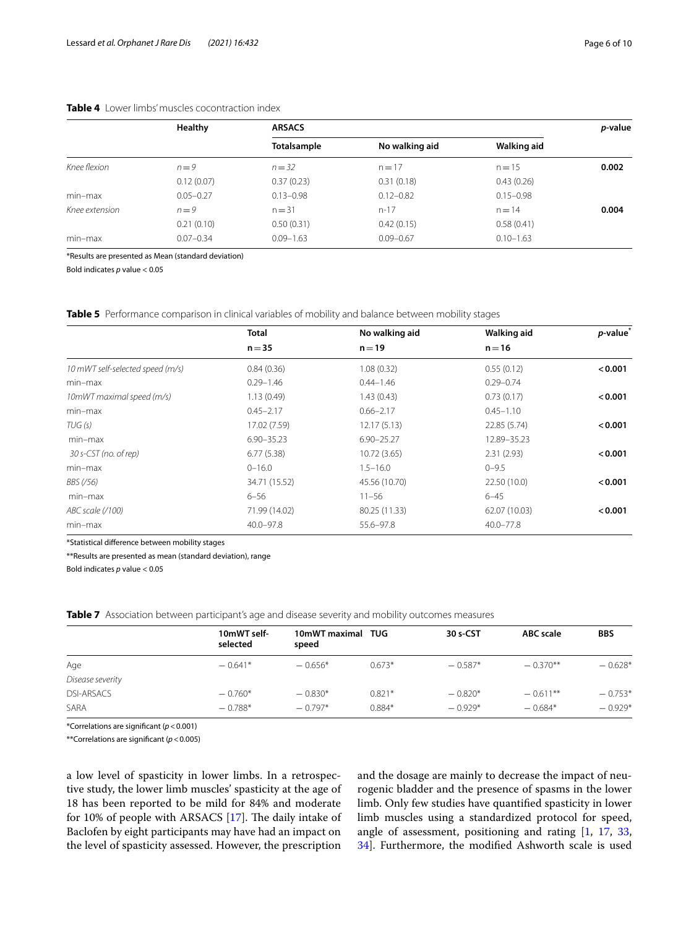#### <span id="page-5-0"></span>**Table 4** Lower limbs' muscles cocontraction index

|                | Healthy       | <b>ARSACS</b> |                |               |       |  |
|----------------|---------------|---------------|----------------|---------------|-------|--|
|                |               | Totalsample   | No walking aid | Walking aid   |       |  |
| Knee flexion   | $n=9$         | $n = 32$      | $n = 17$       | $n = 15$      | 0.002 |  |
|                | 0.12(0.07)    | 0.37(0.23)    | 0.31(0.18)     | 0.43(0.26)    |       |  |
| $min-max$      | $0.05 - 0.27$ | $0.13 - 0.98$ | $0.12 - 0.82$  | $0.15 - 0.98$ |       |  |
| Knee extension | $n=9$         | $n = 31$      | $n-17$         | $n = 14$      | 0.004 |  |
|                | 0.21(0.10)    | 0.50(0.31)    | 0.42(0.15)     | 0.58(0.41)    |       |  |
| min-max        | $0.07 - 0.34$ | $0.09 - 1.63$ | $0.09 - 0.67$  | $0.10 - 1.63$ |       |  |
|                |               |               |                |               |       |  |

\*Results are presented as Mean (standard deviation)

Bold indicates *p* value < 0.05

<span id="page-5-1"></span>**Table 5** Performance comparison in clinical variables of mobility and balance between mobility stages

|                                  | <b>Total</b>   | No walking aid | Walking aid   | p-value <sup>*</sup> |
|----------------------------------|----------------|----------------|---------------|----------------------|
|                                  | $n = 35$       | $n = 19$       | $n = 16$      |                      |
| 10 mWT self-selected speed (m/s) | 0.84(0.36)     | 1.08(0.32)     | 0.55(0.12)    | < 0.001              |
| $min-max$                        | $0.29 - 1.46$  | $0.44 - 1.46$  | $0.29 - 0.74$ |                      |
| 10mWT maximal speed (m/s)        | 1.13(0.49)     | 1.43(0.43)     | 0.73(0.17)    | < 0.001              |
| $min-max$                        | $0.45 - 2.17$  | $0.66 - 2.17$  | $0.45 - 1.10$ |                      |
| TUG(s)                           | 17.02 (7.59)   | 12.17(5.13)    | 22.85 (5.74)  | < 0.001              |
| $min-max$                        | $6.90 - 35.23$ | $6.90 - 25.27$ | 12.89-35.23   |                      |
| 30 s-CST (no. of rep)            | 6.77(5.38)     | 10.72(3.65)    | 2.31(2.93)    | < 0.001              |
| $min-max$                        | $0 - 16.0$     | $1.5 - 16.0$   | $0 - 9.5$     |                      |
| BBS (/56)                        | 34.71 (15.52)  | 45.56 (10.70)  | 22.50 (10.0)  | < 0.001              |
| min-max                          | $6 - 56$       | $11 - 56$      | $6 - 45$      |                      |
| ABC scale (/100)                 | 71.99 (14.02)  | 80.25 (11.33)  | 62.07 (10.03) | < 0.001              |
| $min-max$                        | $40.0 - 97.8$  | 55.6-97.8      | $40.0 - 77.8$ |                      |

\*Statistical diference between mobility stages

\*\*Results are presented as mean (standard deviation), range

Bold indicates *p* value < 0.05

<span id="page-5-2"></span>**Table 7** Association between participant's age and disease severity and mobility outcomes measures

|                   | 10mWT self- | 10mWT maximal TUG |          | 30 s-CST  | <b>ABC</b> scale | <b>BBS</b> |  |
|-------------------|-------------|-------------------|----------|-----------|------------------|------------|--|
|                   |             | selected<br>speed |          |           |                  |            |  |
| Age               | $-0.641*$   | $-0.656*$         | $0.673*$ | $-0.587*$ | $-0.370**$       | $-0.628*$  |  |
| Disease severity  |             |                   |          |           |                  |            |  |
| <b>DSI-ARSACS</b> | $-0.760*$   | $-0.830*$         | $0.821*$ | $-0.820*$ | $-0.611**$       | $-0.753*$  |  |
| SARA              | $-0.788*$   | $-0.797*$         | $0.884*$ | $-0.929*$ | $-0.684*$        | $-0.929*$  |  |

\*Correlations are signifcant (*p*<0.001)

\*\*Correlations are signifcant (*p*<0.005)

a low level of spasticity in lower limbs. In a retrospective study, the lower limb muscles' spasticity at the age of 18 has been reported to be mild for 84% and moderate for 10% of people with ARSACS  $[17]$  $[17]$ . The daily intake of Baclofen by eight participants may have had an impact on the level of spasticity assessed. However, the prescription

and the dosage are mainly to decrease the impact of neurogenic bladder and the presence of spasms in the lower limb. Only few studies have quantifed spasticity in lower limb muscles using a standardized protocol for speed, angle of assessment, positioning and rating [\[1](#page-8-0), [17,](#page-9-2) [33](#page-9-18), [34\]](#page-9-19). Furthermore, the modifed Ashworth scale is used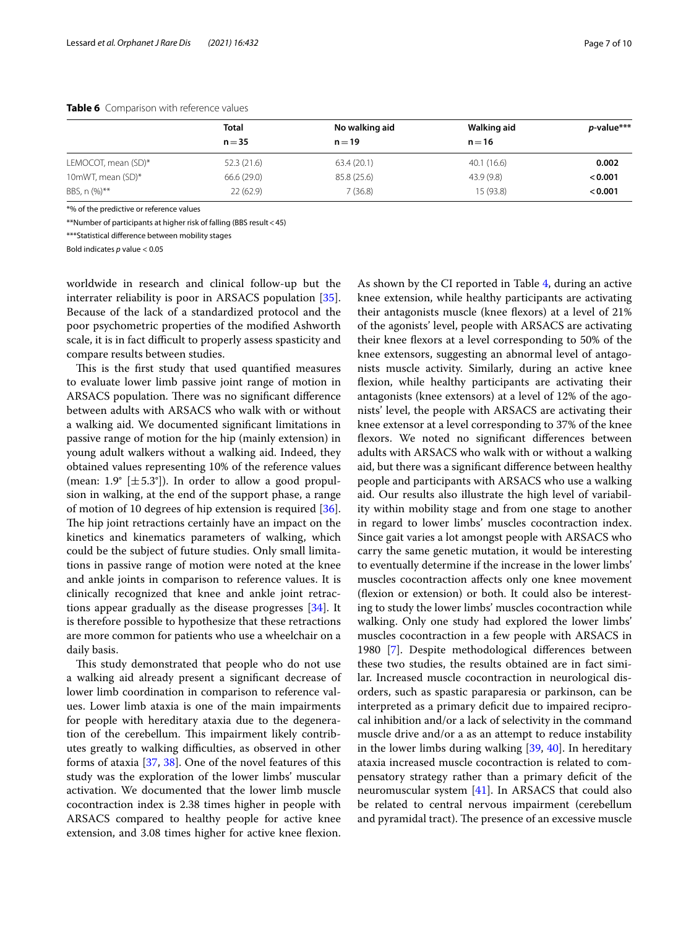|                     | <b>Total</b> | No walking aid | Walking aid | p-value*** |
|---------------------|--------------|----------------|-------------|------------|
|                     | $n = 35$     | $n = 19$       | $n = 16$    |            |
| LEMOCOT, mean (SD)* | 52.3(21.6)   | 63.4(20.1)     | 40.1(16.6)  | 0.002      |
| 10mWT, mean (SD)*   | 66.6 (29.0)  | 85.8 (25.6)    | 43.9 (9.8)  | < 0.001    |
| BBS, n (%)**        | 22(62.9)     | 7(36.8)        | 15 (93.8)   | < 0.001    |

<span id="page-6-0"></span>**Table 6** Comparison with reference values

\*% of the predictive or reference values

\*\*Number of participants at higher risk of falling (BBS result<45)

\*\*\*Statistical diference between mobility stages

Bold indicates *p* value < 0.05

worldwide in research and clinical follow-up but the interrater reliability is poor in ARSACS population [\[35](#page-9-20)]. Because of the lack of a standardized protocol and the poor psychometric properties of the modifed Ashworth scale, it is in fact difficult to properly assess spasticity and compare results between studies.

This is the first study that used quantified measures to evaluate lower limb passive joint range of motion in ARSACS population. There was no significant difference between adults with ARSACS who walk with or without a walking aid. We documented signifcant limitations in passive range of motion for the hip (mainly extension) in young adult walkers without a walking aid. Indeed, they obtained values representing 10% of the reference values (mean: 1.9 $\degree$  [ $\pm$  5.3 $\degree$ ]). In order to allow a good propulsion in walking, at the end of the support phase, a range of motion of 10 degrees of hip extension is required [\[36](#page-9-21)]. The hip joint retractions certainly have an impact on the kinetics and kinematics parameters of walking, which could be the subject of future studies. Only small limitations in passive range of motion were noted at the knee and ankle joints in comparison to reference values. It is clinically recognized that knee and ankle joint retractions appear gradually as the disease progresses [\[34](#page-9-19)]. It is therefore possible to hypothesize that these retractions are more common for patients who use a wheelchair on a daily basis.

This study demonstrated that people who do not use a walking aid already present a signifcant decrease of lower limb coordination in comparison to reference values. Lower limb ataxia is one of the main impairments for people with hereditary ataxia due to the degeneration of the cerebellum. This impairment likely contributes greatly to walking difficulties, as observed in other forms of ataxia [\[37](#page-9-22), [38](#page-9-23)]. One of the novel features of this study was the exploration of the lower limbs' muscular activation. We documented that the lower limb muscle cocontraction index is 2.38 times higher in people with ARSACS compared to healthy people for active knee extension, and 3.08 times higher for active knee flexion. As shown by the CI reported in Table [4](#page-5-0), during an active knee extension, while healthy participants are activating their antagonists muscle (knee fexors) at a level of 21% of the agonists' level, people with ARSACS are activating their knee fexors at a level corresponding to 50% of the knee extensors, suggesting an abnormal level of antagonists muscle activity. Similarly, during an active knee fexion, while healthy participants are activating their antagonists (knee extensors) at a level of 12% of the agonists' level, the people with ARSACS are activating their knee extensor at a level corresponding to 37% of the knee fexors. We noted no signifcant diferences between adults with ARSACS who walk with or without a walking aid, but there was a signifcant diference between healthy people and participants with ARSACS who use a walking aid. Our results also illustrate the high level of variability within mobility stage and from one stage to another in regard to lower limbs' muscles cocontraction index. Since gait varies a lot amongst people with ARSACS who carry the same genetic mutation, it would be interesting to eventually determine if the increase in the lower limbs' muscles cocontraction afects only one knee movement (fexion or extension) or both. It could also be interesting to study the lower limbs' muscles cocontraction while walking. Only one study had explored the lower limbs' muscles cocontraction in a few people with ARSACS in 1980 [[7\]](#page-8-6). Despite methodological diferences between these two studies, the results obtained are in fact similar. Increased muscle cocontraction in neurological disorders, such as spastic paraparesia or parkinson, can be interpreted as a primary deficit due to impaired reciprocal inhibition and/or a lack of selectivity in the command muscle drive and/or a as an attempt to reduce instability in the lower limbs during walking [\[39](#page-9-24), [40](#page-9-25)]. In hereditary ataxia increased muscle cocontraction is related to compensatory strategy rather than a primary deficit of the neuromuscular system [\[41](#page-9-26)]. In ARSACS that could also be related to central nervous impairment (cerebellum and pyramidal tract). The presence of an excessive muscle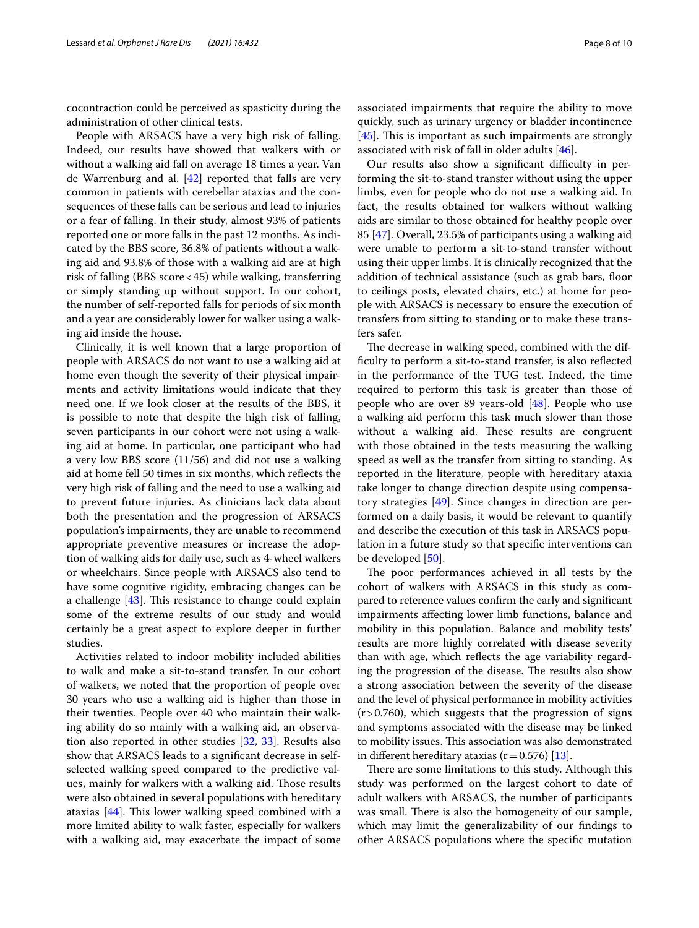cocontraction could be perceived as spasticity during the administration of other clinical tests.

People with ARSACS have a very high risk of falling. Indeed, our results have showed that walkers with or without a walking aid fall on average 18 times a year. Van de Warrenburg and al. [[42](#page-9-27)] reported that falls are very common in patients with cerebellar ataxias and the consequences of these falls can be serious and lead to injuries or a fear of falling. In their study, almost 93% of patients reported one or more falls in the past 12 months. As indicated by the BBS score, 36.8% of patients without a walking aid and 93.8% of those with a walking aid are at high risk of falling (BBS score<45) while walking, transferring or simply standing up without support. In our cohort, the number of self-reported falls for periods of six month and a year are considerably lower for walker using a walking aid inside the house.

Clinically, it is well known that a large proportion of people with ARSACS do not want to use a walking aid at home even though the severity of their physical impairments and activity limitations would indicate that they need one. If we look closer at the results of the BBS, it is possible to note that despite the high risk of falling, seven participants in our cohort were not using a walking aid at home. In particular, one participant who had a very low BBS score (11/56) and did not use a walking aid at home fell 50 times in six months, which refects the very high risk of falling and the need to use a walking aid to prevent future injuries. As clinicians lack data about both the presentation and the progression of ARSACS population's impairments, they are unable to recommend appropriate preventive measures or increase the adoption of walking aids for daily use, such as 4-wheel walkers or wheelchairs. Since people with ARSACS also tend to have some cognitive rigidity, embracing changes can be a challenge  $[43]$ . This resistance to change could explain some of the extreme results of our study and would certainly be a great aspect to explore deeper in further studies.

Activities related to indoor mobility included abilities to walk and make a sit-to-stand transfer. In our cohort of walkers, we noted that the proportion of people over 30 years who use a walking aid is higher than those in their twenties. People over 40 who maintain their walking ability do so mainly with a walking aid, an observation also reported in other studies [\[32](#page-9-17), [33\]](#page-9-18). Results also show that ARSACS leads to a signifcant decrease in selfselected walking speed compared to the predictive values, mainly for walkers with a walking aid. Those results were also obtained in several populations with hereditary ataxias  $[44]$  $[44]$  $[44]$ . This lower walking speed combined with a more limited ability to walk faster, especially for walkers with a walking aid, may exacerbate the impact of some associated impairments that require the ability to move quickly, such as urinary urgency or bladder incontinence  $[45]$  $[45]$ . This is important as such impairments are strongly associated with risk of fall in older adults  $[46]$  $[46]$  $[46]$ .

Our results also show a significant difficulty in performing the sit-to-stand transfer without using the upper limbs, even for people who do not use a walking aid. In fact, the results obtained for walkers without walking aids are similar to those obtained for healthy people over 85 [\[47\]](#page-9-32). Overall, 23.5% of participants using a walking aid were unable to perform a sit-to-stand transfer without using their upper limbs. It is clinically recognized that the addition of technical assistance (such as grab bars, foor to ceilings posts, elevated chairs, etc.) at home for people with ARSACS is necessary to ensure the execution of transfers from sitting to standing or to make these transfers safer.

The decrease in walking speed, combined with the diffculty to perform a sit-to-stand transfer, is also refected in the performance of the TUG test. Indeed, the time required to perform this task is greater than those of people who are over 89 years-old [[48](#page-9-33)]. People who use a walking aid perform this task much slower than those without a walking aid. These results are congruent with those obtained in the tests measuring the walking speed as well as the transfer from sitting to standing. As reported in the literature, people with hereditary ataxia take longer to change direction despite using compensatory strategies [\[49\]](#page-9-34). Since changes in direction are performed on a daily basis, it would be relevant to quantify and describe the execution of this task in ARSACS population in a future study so that specifc interventions can be developed [\[50\]](#page-9-35).

The poor performances achieved in all tests by the cohort of walkers with ARSACS in this study as compared to reference values confrm the early and signifcant impairments afecting lower limb functions, balance and mobility in this population. Balance and mobility tests' results are more highly correlated with disease severity than with age, which refects the age variability regarding the progression of the disease. The results also show a strong association between the severity of the disease and the level of physical performance in mobility activities  $(r>0.760)$ , which suggests that the progression of signs and symptoms associated with the disease may be linked to mobility issues. This association was also demonstrated in different hereditary ataxias ( $r=0.576$ ) [[13\]](#page-8-11).

There are some limitations to this study. Although this study was performed on the largest cohort to date of adult walkers with ARSACS, the number of participants was small. There is also the homogeneity of our sample, which may limit the generalizability of our fndings to other ARSACS populations where the specifc mutation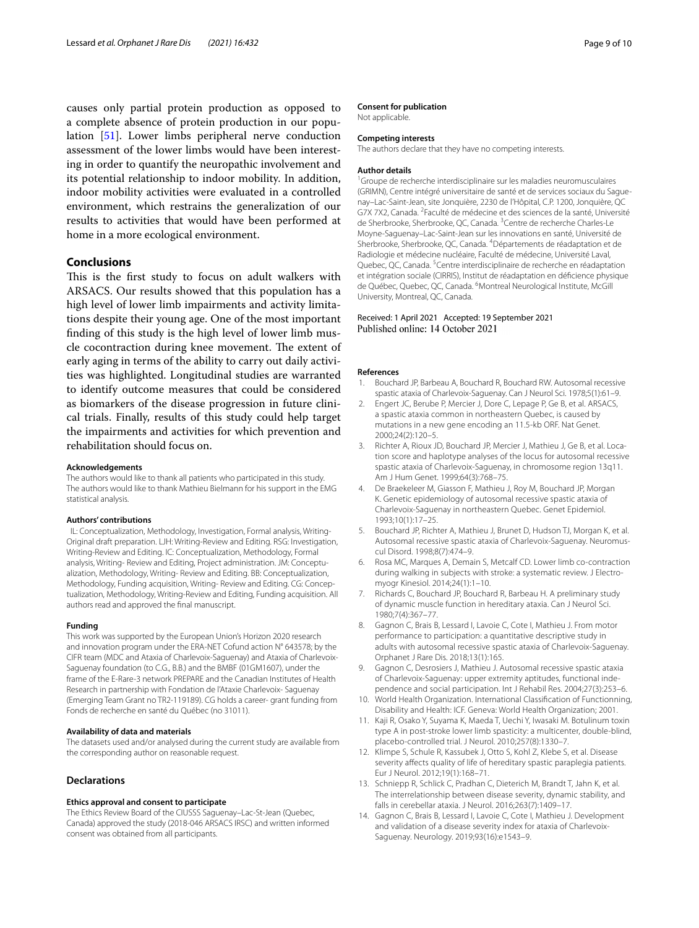causes only partial protein production as opposed to a complete absence of protein production in our population [[51\]](#page-9-36). Lower limbs peripheral nerve conduction assessment of the lower limbs would have been interesting in order to quantify the neuropathic involvement and its potential relationship to indoor mobility. In addition, indoor mobility activities were evaluated in a controlled environment, which restrains the generalization of our results to activities that would have been performed at home in a more ecological environment.

#### **Conclusions**

This is the first study to focus on adult walkers with ARSACS. Our results showed that this population has a high level of lower limb impairments and activity limitations despite their young age. One of the most important fnding of this study is the high level of lower limb muscle cocontraction during knee movement. The extent of early aging in terms of the ability to carry out daily activities was highlighted. Longitudinal studies are warranted to identify outcome measures that could be considered as biomarkers of the disease progression in future clinical trials. Finally, results of this study could help target the impairments and activities for which prevention and rehabilitation should focus on.

#### **Acknowledgements**

The authors would like to thank all patients who participated in this study. The authors would like to thank Mathieu Bielmann for his support in the EMG statistical analysis.

#### **Authors' contributions**

 IL: Conceptualization, Methodology, Investigation, Formal analysis, Writing-Original draft preparation. LJH: Writing-Review and Editing. RSG: Investigation, Writing-Review and Editing. IC: Conceptualization, Methodology, Formal analysis, Writing- Review and Editing, Project administration. JM: Conceptualization, Methodology, Writing- Review and Editing. BB: Conceptualization, Methodology, Funding acquisition, Writing-Review and Editing. CG: Conceptualization, Methodology, Writing-Review and Editing, Funding acquisition. All authors read and approved the fnal manuscript.

#### **Funding**

This work was supported by the European Union's Horizon 2020 research and innovation program under the ERA-NET Cofund action N° 643578; by the CIFR team (MDC and Ataxia of Charlevoix-Saguenay) and Ataxia of Charlevoix-Saguenay foundation (to C.G., B.B.) and the BMBF (01GM1607), under the frame of the E-Rare-3 network PREPARE and the Canadian Institutes of Health Research in partnership with Fondation de l'Ataxie Charlevoix- Saguenay (Emerging Team Grant no TR2-119189). CG holds a career- grant funding from Fonds de recherche en santé du Québec (no 31011).

#### **Availability of data and materials**

The datasets used and/or analysed during the current study are available from the corresponding author on reasonable request.

#### **Declarations**

#### **Ethics approval and consent to participate**

The Ethics Review Board of the CIUSSS Saguenay–Lac-St-Jean (Quebec, Canada) approved the study (2018-046 ARSACS IRSC) and written informed consent was obtained from all participants.

#### **Consent for publication**

Not applicable.

#### **Competing interests**

The authors declare that they have no competing interests.

#### **Author details**

<sup>1</sup> Groupe de recherche interdisciplinaire sur les maladies neuromusculaires (GRIMN), Centre intégré universitaire de santé et de services sociaux du Saguenay–Lac-Saint-Jean, site Jonquière, 2230 de l'Hôpital, C.P. 1200, Jonquière, QC G7X 7X2, Canada. <sup>2</sup> Faculté de médecine et des sciences de la santé, Université de Sherbrooke, Sherbrooke, QC, Canada. <sup>3</sup> Centre de recherche Charles-Le Moyne‑Saguenay–Lac‑Saint‑Jean sur les innovations en santé, Université de Sherbrooke, Sherbrooke, QC, Canada. <sup>4</sup> Départements de réadaptation et de Radiologie et médecine nucléaire, Faculté de médecine, Université Laval, Quebec, QC, Canada.<sup>5</sup> Centre interdisciplinaire de recherche en réadaptation et intégration sociale (CIRRIS), Institut de réadaptation en défcience physique de Québec, Quebec, QC, Canada. <sup>6</sup>Montreal Neurological Institute, McGill University, Montreal, QC, Canada.

## Received: 1 April 2021 Accepted: 19 September 2021<br>Published online: 14 October 2021

#### **References**

- <span id="page-8-0"></span>Bouchard JP, Barbeau A, Bouchard R, Bouchard RW. Autosomal recessive spastic ataxia of Charlevoix-Saguenay. Can J Neurol Sci. 1978;5(1):61–9.
- <span id="page-8-1"></span>2. Engert JC, Berube P, Mercier J, Dore C, Lepage P, Ge B, et al. ARSACS, a spastic ataxia common in northeastern Quebec, is caused by mutations in a new gene encoding an 11.5-kb ORF. Nat Genet. 2000;24(2):120–5.
- <span id="page-8-2"></span>3. Richter A, Rioux JD, Bouchard JP, Mercier J, Mathieu J, Ge B, et al. Location score and haplotype analyses of the locus for autosomal recessive spastic ataxia of Charlevoix-Saguenay, in chromosome region 13q11. Am J Hum Genet. 1999;64(3):768–75.
- <span id="page-8-3"></span>De Braekeleer M, Giasson F, Mathieu J, Roy M, Bouchard JP, Morgan K. Genetic epidemiology of autosomal recessive spastic ataxia of Charlevoix-Saguenay in northeastern Quebec. Genet Epidemiol. 1993;10(1):17–25.
- <span id="page-8-4"></span>5. Bouchard JP, Richter A, Mathieu J, Brunet D, Hudson TJ, Morgan K, et al. Autosomal recessive spastic ataxia of Charlevoix-Saguenay. Neuromuscul Disord. 1998;8(7):474–9.
- <span id="page-8-5"></span>6. Rosa MC, Marques A, Demain S, Metcalf CD. Lower limb co-contraction during walking in subjects with stroke: a systematic review. J Electromyogr Kinesiol. 2014;24(1):1–10.
- <span id="page-8-6"></span>7. Richards C, Bouchard JP, Bouchard R, Barbeau H. A preliminary study of dynamic muscle function in hereditary ataxia. Can J Neurol Sci. 1980;7(4):367–77.
- <span id="page-8-7"></span>8. Gagnon C, Brais B, Lessard I, Lavoie C, Cote I, Mathieu J. From motor performance to participation: a quantitative descriptive study in adults with autosomal recessive spastic ataxia of Charlevoix-Saguenay. Orphanet J Rare Dis. 2018;13(1):165.
- <span id="page-8-8"></span>9. Gagnon C, Desrosiers J, Mathieu J. Autosomal recessive spastic ataxia of Charlevoix-Saguenay: upper extremity aptitudes, functional inde‑ pendence and social participation. Int J Rehabil Res. 2004;27(3):253–6.
- <span id="page-8-9"></span>10. World Health Organization. International Classifcation of Functionning, Disability and Health: ICF. Geneva: World Health Organization; 2001.
- <span id="page-8-10"></span>11. Kaji R, Osako Y, Suyama K, Maeda T, Uechi Y, Iwasaki M. Botulinum toxin type A in post-stroke lower limb spasticity: a multicenter, double-blind, placebo-controlled trial. J Neurol. 2010;257(8):1330–7.
- 12. Klimpe S, Schule R, Kassubek J, Otto S, Kohl Z, Klebe S, et al. Disease severity affects quality of life of hereditary spastic paraplegia patients. Eur J Neurol. 2012;19(1):168–71.
- <span id="page-8-11"></span>13. Schniepp R, Schlick C, Pradhan C, Dieterich M, Brandt T, Jahn K, et al. The interrelationship between disease severity, dynamic stability, and falls in cerebellar ataxia. J Neurol. 2016;263(7):1409–17.
- <span id="page-8-12"></span>14. Gagnon C, Brais B, Lessard I, Lavoie C, Cote I, Mathieu J. Development and validation of a disease severity index for ataxia of Charlevoix-Saguenay. Neurology. 2019;93(16):e1543–9.